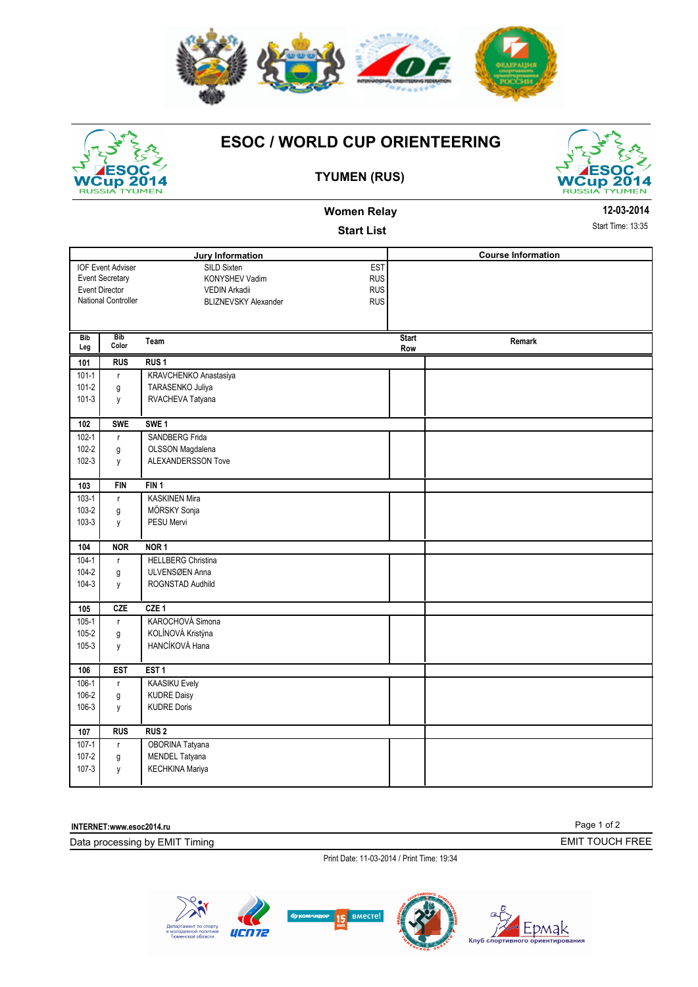

## WCup 2014

## **ESOC / WORLD CUP ORIENTEERING**



## **TYUMEN (RUS)**

**Women Relay** 

|                            |                          | <b>Start List</b>                         |                     |                           | Start Time: 13:3 |  |
|----------------------------|--------------------------|-------------------------------------------|---------------------|---------------------------|------------------|--|
| <b>Jury Information</b>    |                          |                                           |                     | <b>Course Information</b> |                  |  |
|                            | <b>IOF Event Adviser</b> | EST<br>SILD Sixten                        |                     |                           |                  |  |
|                            | <b>Event Secretary</b>   | KONYSHEV Vadim<br><b>RUS</b>              |                     |                           |                  |  |
| <b>Event Director</b>      |                          | <b>RUS</b><br><b>VEDIN Arkadii</b>        |                     |                           |                  |  |
| <b>National Controller</b> |                          | <b>RUS</b><br><b>BLIZNEVSKY Alexander</b> |                     |                           |                  |  |
|                            |                          |                                           |                     |                           |                  |  |
| Bib<br>Leg                 | <b>Bib</b><br>Color      | Team                                      | <b>Start</b><br>Row | Remark                    |                  |  |
| 101                        | <b>RUS</b>               | RUS <sub>1</sub>                          |                     |                           |                  |  |
| $101 - 1$                  | $\mathsf r$              | KRAVCHENKO Anastasiya                     |                     |                           |                  |  |
| $101 - 2$                  | g                        | TARASENKO Juliya                          |                     |                           |                  |  |
| $101 - 3$                  | y                        | RVACHEVA Tatyana                          |                     |                           |                  |  |
|                            |                          |                                           |                     |                           |                  |  |
| 102                        | <b>SWE</b>               | SWE <sub>1</sub>                          |                     |                           |                  |  |
| $102 - 1$                  | $\mathsf{r}$             | SANDBERG Frida                            |                     |                           |                  |  |
| $102 - 2$                  | g                        | OLSSON Magdalena                          |                     |                           |                  |  |
| $102 - 3$                  | y                        | ALEXANDERSSON Tove                        |                     |                           |                  |  |
| 103                        | <b>FIN</b>               | FIN 1                                     |                     |                           |                  |  |
| $103-1$                    | $\mathsf{r}$             | <b>KASKINEN Mira</b>                      |                     |                           |                  |  |
| 103-2                      | g                        | MÖRSKY Sonja                              |                     |                           |                  |  |
| $103-3$                    | y                        | PESU Mervi                                |                     |                           |                  |  |
|                            |                          |                                           |                     |                           |                  |  |
| 104                        | <b>NOR</b>               | NOR <sub>1</sub>                          |                     |                           |                  |  |
| $104 - 1$                  | $\mathsf{r}$             | <b>HELLBERG Christina</b>                 |                     |                           |                  |  |
| 104-2                      | g                        | ULVENSØEN Anna                            |                     |                           |                  |  |
| $104 - 3$                  | y                        | ROGNSTAD Audhild                          |                     |                           |                  |  |
| 105                        | <b>CZE</b>               | CZE <sub>1</sub>                          |                     |                           |                  |  |
| $105 - 1$                  | $\mathsf{r}$             | KAROCHOVÁ Simona                          |                     |                           |                  |  |
| $105 - 2$                  | g                        | KOLÍNOVÁ Kristýna                         |                     |                           |                  |  |
| 105-3                      | y                        | HANCÍKOVÁ Hana                            |                     |                           |                  |  |
|                            |                          |                                           |                     |                           |                  |  |
| 106                        | <b>EST</b>               | EST <sub>1</sub>                          |                     |                           |                  |  |
| $106-1$                    | $\mathsf{r}$             | <b>KAASIKU Evely</b>                      |                     |                           |                  |  |
| 106-2                      | g                        | <b>KUDRE Daisy</b>                        |                     |                           |                  |  |
| 106-3                      | y                        | <b>KUDRE Doris</b>                        |                     |                           |                  |  |
| 107                        | <b>RUS</b>               | <b>RUS2</b>                               |                     |                           |                  |  |

**INTERNET:www.esoc2014.ru** 

Data processing by EMIT Timing

107-1 | r | OBORINA Tatyana 107-2 g MENDEL Tatyana 107-3 y KECHKINA Mariya

> Page 1 of 2 EMIT TOUCH FREE

Print Date: 11-03-2014 / Print Time: 19:34





**12-03-2014** 35